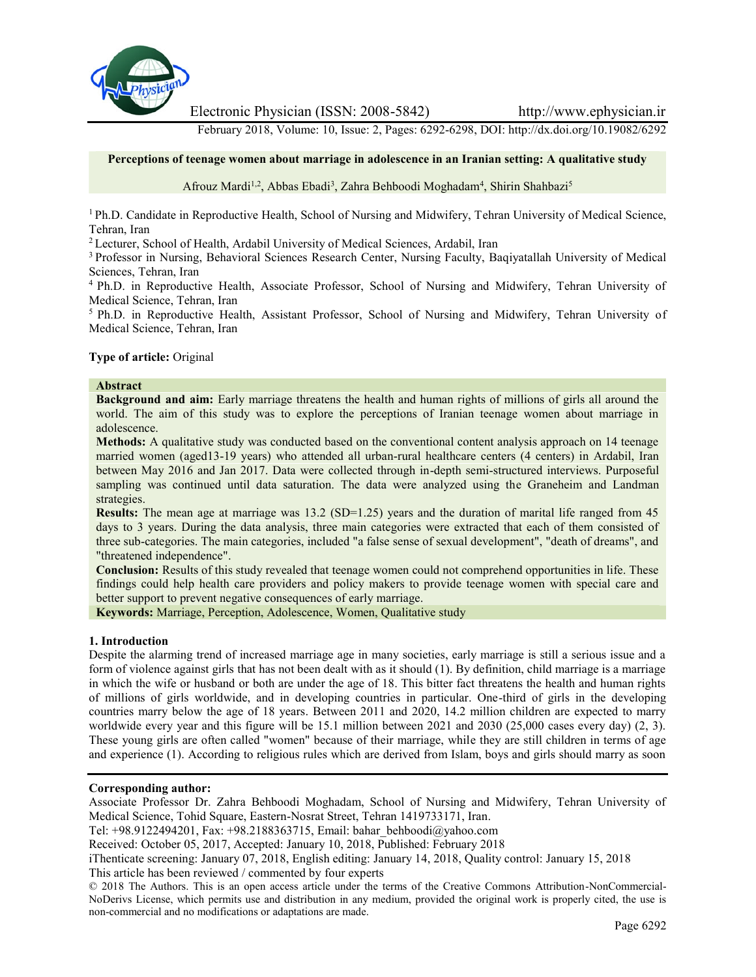

Electronic Physician (ISSN: 2008-5842) http://www.ephysician.ir

February 2018, Volume: 10, Issue: 2, Pages: 6292-6298, DOI: http://dx.doi.org/10.19082/6292

#### **Perceptions of teenage women about marriage in adolescence in an Iranian setting: A qualitative study**

Afrouz Mardi<sup>1,2</sup>, Abbas Ebadi<sup>3</sup>, Zahra Behboodi Moghadam<sup>4</sup>, Shirin Shahbazi<sup>5</sup>

<sup>1</sup> Ph.D. Candidate in Reproductive Health, School of Nursing and Midwifery, Tehran University of Medical Science, Tehran, Iran

<sup>2</sup> Lecturer, School of Health, Ardabil University of Medical Sciences, Ardabil, Iran

<sup>3</sup> Professor in Nursing, Behavioral Sciences Research Center, Nursing Faculty, Baqiyatallah University of Medical Sciences, Tehran, Iran

<sup>4</sup> Ph.D. in Reproductive Health, Associate Professor, School of Nursing and Midwifery, Tehran University of Medical Science, Tehran, Iran

<sup>5</sup> Ph.D. in Reproductive Health, Assistant Professor, School of Nursing and Midwifery, Tehran University of Medical Science, Tehran, Iran

#### **Type of article:** Original

### **Abstract**

**Background and aim:** Early marriage threatens the health and human rights of millions of girls all around the world. The aim of this study was to explore the perceptions of Iranian teenage women about marriage in adolescence.

**Methods:** A qualitative study was conducted based on the conventional content analysis approach on 14 teenage married women (aged13-19 years) who attended all urban-rural healthcare centers (4 centers) in Ardabil, Iran between May 2016 and Jan 2017. Data were collected through in-depth semi-structured interviews. Purposeful sampling was continued until data saturation. The data were analyzed using the Graneheim and Landman strategies.

**Results:** The mean age at marriage was  $13.2$  (SD=1.25) years and the duration of marital life ranged from 45 days to 3 years. During the data analysis, three main categories were extracted that each of them consisted of three sub-categories. The main categories, included "a false sense of sexual development", "death of dreams", and "threatened independence".

**Conclusion:** Results of this study revealed that teenage women could not comprehend opportunities in life. These findings could help health care providers and policy makers to provide teenage women with special care and better support to prevent negative consequences of early marriage.

**Keywords:** Marriage, Perception, Adolescence, Women, Qualitative study

#### **1. Introduction**

Despite the alarming trend of increased marriage age in many societies, early marriage is still a serious issue and a form of violence against girls that has not been dealt with as it should (1). By definition, child marriage is a marriage in which the wife or husband or both are under the age of 18. This bitter fact threatens the health and human rights of millions of girls worldwide, and in developing countries in particular. One-third of girls in the developing countries marry below the age of 18 years. Between 2011 and 2020, 14.2 million children are expected to marry worldwide every year and this figure will be 15.1 million between 2021 and 2030 (25,000 cases every day) (2, 3). These young girls are often called "women" because of their marriage, while they are still children in terms of age and experience (1). According to religious rules which are derived from Islam, boys and girls should marry as soon

# **Corresponding author:**

Associate Professor Dr. Zahra Behboodi Moghadam, School of Nursing and Midwifery, Tehran University of Medical Science, Tohid Square, Eastern-Nosrat Street, Tehran 1419733171, Iran.

Tel: +98.9122494201, Fax: +98.2188363715, Email: bahar\_behboodi@yahoo.com

Received: October 05, 2017, Accepted: January 10, 2018, Published: February 2018

iThenticate screening: January 07, 2018, English editing: January 14, 2018, Quality control: January 15, 2018 This article has been reviewed / commented by four experts

© 2018 The Authors. This is an open access article under the terms of the Creative Commons Attribution-NonCommercial- NoDerivs License, which permits use and distribution in any medium, provided the original work is properly cited, the use is non-commercial and no modifications or adaptations are made.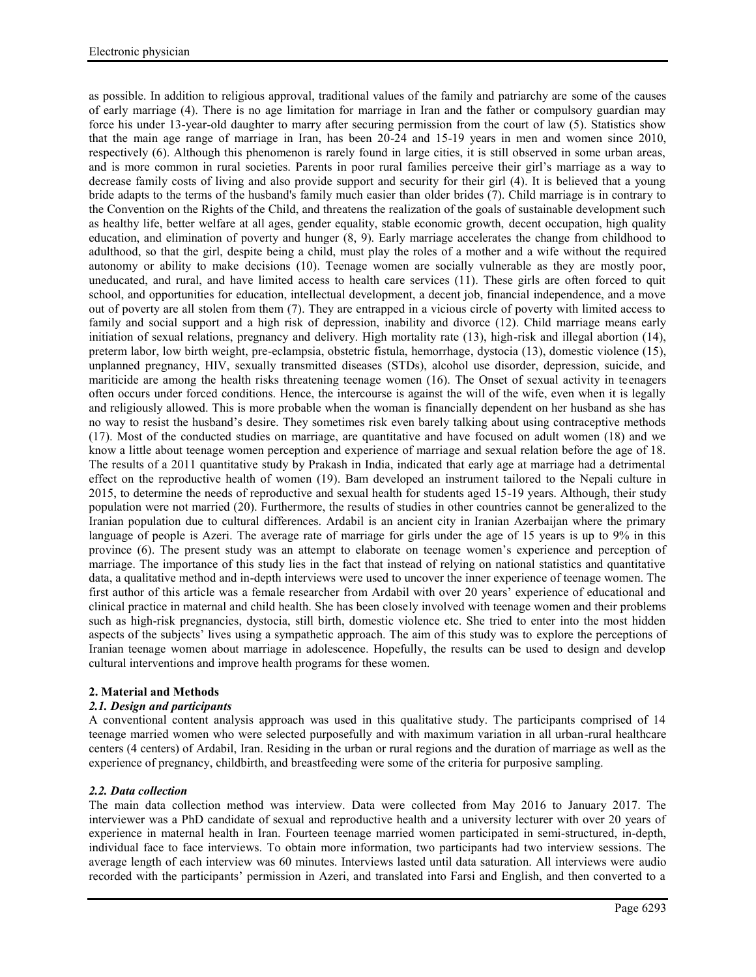as possible. In addition to religious approval, traditional values of the family and patriarchy are some of the causes of early marriage (4). There is no age limitation for marriage in Iran and the father or compulsory guardian may force his under 13-year-old daughter to marry after securing permission from the court of law (5). Statistics show that the main age range of marriage in Iran, has been 20-24 and 15-19 years in men and women since 2010, respectively (6). Although this phenomenon is rarely found in large cities, it is still observed in some urban areas, and is more common in rural societies. Parents in poor rural families perceive their girl's marriage as a way to decrease family costs of living and also provide support and security for their girl (4). It is believed that a young bride adapts to the terms of the husband's family much easier than older brides (7). Child marriage is in contrary to the Convention on the Rights of the Child, and threatens the realization of the goals of sustainable development such as healthy life, better welfare at all ages, gender equality, stable economic growth, decent occupation, high quality education, and elimination of poverty and hunger (8, 9). Early marriage accelerates the change from childhood to adulthood, so that the girl, despite being a child, must play the roles of a mother and a wife without the required autonomy or ability to make decisions (10). Teenage women are socially vulnerable as they are mostly poor, uneducated, and rural, and have limited access to health care services (11). These girls are often forced to quit school, and opportunities for education, intellectual development, a decent job, financial independence, and a move out of poverty are all stolen from them (7). They are entrapped in a vicious circle of poverty with limited access to family and social support and a high risk of depression, inability and divorce (12). Child marriage means early initiation of sexual relations, pregnancy and delivery. High mortality rate (13), high-risk and illegal abortion (14), preterm labor, low birth weight, pre-eclampsia, obstetric fistula, hemorrhage, dystocia (13), domestic violence (15), unplanned pregnancy, HIV, sexually transmitted diseases (STDs), alcohol use disorder, depression, suicide, and mariticide are among the health risks threatening teenage women (16). The Onset of sexual activity in teenagers often occurs under forced conditions. Hence, the intercourse is against the will of the wife, even when it is legally and religiously allowed. This is more probable when the woman is financially dependent on her husband as she has no way to resist the husband's desire. They sometimes risk even barely talking about using contraceptive methods (17). Most of the conducted studies on marriage, are quantitative and have focused on adult women (18) and we know a little about teenage women perception and experience of marriage and sexual relation before the age of 18. The results of a 2011 quantitative study by Prakash in India, indicated that early age at marriage had a detrimental effect on the reproductive health of women (19). Bam developed an instrument tailored to the Nepali culture in 2015, to determine the needs of reproductive and sexual health for students aged 15-19 years. Although, their study population were not married (20). Furthermore, the results of studies in other countries cannot be generalized to the Iranian population due to cultural differences. Ardabil is an ancient city in Iranian Azerbaijan where the primary language of people is Azeri. The average rate of marriage for girls under the age of 15 years is up to 9% in this province (6). The present study was an attempt to elaborate on teenage women's experience and perception of marriage. The importance of this study lies in the fact that instead of relying on national statistics and quantitative data, a qualitative method and in-depth interviews were used to uncover the inner experience of teenage women. The first author of this article was a female researcher from Ardabil with over 20 years' experience of educational and clinical practice in maternal and child health. She has been closely involved with teenage women and their problems such as high-risk pregnancies, dystocia, still birth, domestic violence etc. She tried to enter into the most hidden aspects of the subjects' lives using a sympathetic approach. The aim of this study was to explore the perceptions of Iranian teenage women about marriage in adolescence. Hopefully, the results can be used to design and develop cultural interventions and improve health programs for these women.

# **2. Material and Methods**

# *2.1. Design and participants*

A conventional content analysis approach was used in this qualitative study. The participants comprised of 14 teenage married women who were selected purposefully and with maximum variation in all urban-rural healthcare centers (4 centers) of Ardabil, Iran. Residing in the urban or rural regions and the duration of marriage as well as the experience of pregnancy, childbirth, and breastfeeding were some of the criteria for purposive sampling.

# *2.2. Data collection*

The main data collection method was interview. Data were collected from May 2016 to January 2017. The interviewer was a PhD candidate of sexual and reproductive health and a university lecturer with over 20 years of experience in maternal health in Iran. Fourteen teenage married women participated in semi-structured, in-depth, individual face to face interviews. To obtain more information, two participants had two interview sessions. The average length of each interview was 60 minutes. Interviews lasted until data saturation. All interviews were audio recorded with the participants' permission in Azeri, and translated into Farsi and English, and then converted to a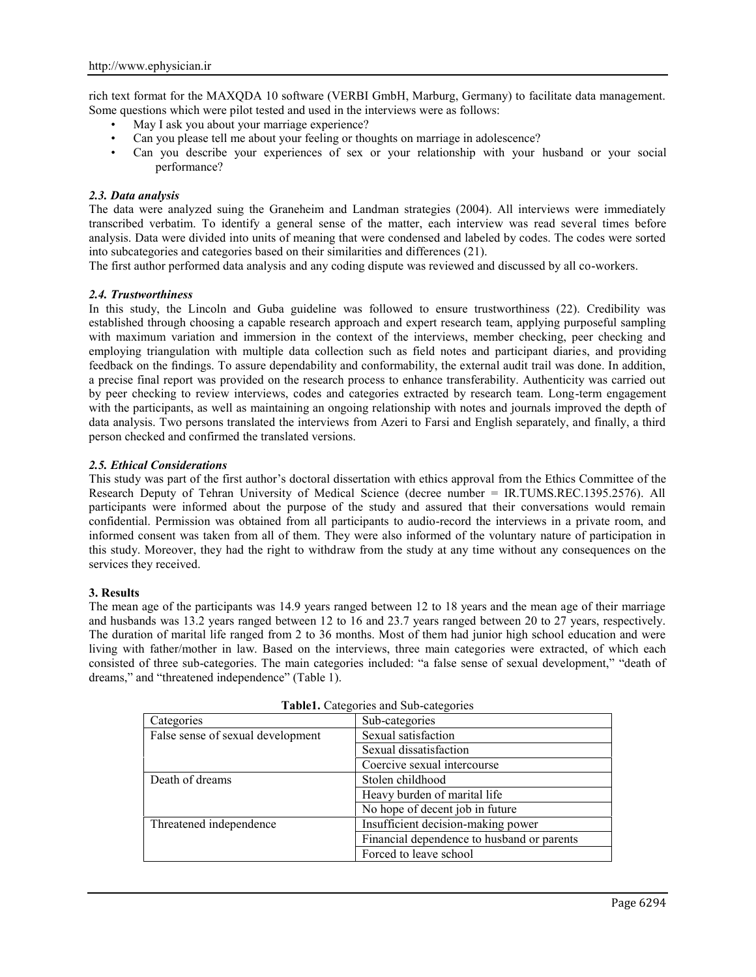rich text format for the MAXQDA 10 software (VERBI GmbH, Marburg, Germany) to facilitate data management. Some questions which were pilot tested and used in the interviews were as follows:

- May I ask you about your marriage experience?
- Can you please tell me about your feeling or thoughts on marriage in adolescence?
- Can you describe your experiences of sex or your relationship with your husband or your social performance?

#### *2.3. Data analysis*

The data were analyzed suing the Graneheim and Landman strategies (2004). All interviews were immediately transcribed verbatim. To identify a general sense of the matter, each interview was read several times before analysis. Data were divided into units of meaning that were condensed and labeled by codes. The codes were sorted into subcategories and categories based on their similarities and differences (21).

The first author performed data analysis and any coding dispute was reviewed and discussed by all co-workers.

### *2.4. Trustworthiness*

In this study, the Lincoln and Guba guideline was followed to ensure trustworthiness (22). Credibility was established through choosing a capable research approach and expert research team, applying purposeful sampling with maximum variation and immersion in the context of the interviews, member checking, peer checking and employing triangulation with multiple data collection such as field notes and participant diaries, and providing feedback on the findings. To assure dependability and conformability, the external audit trail was done. In addition, a precise final report was provided on the research process to enhance transferability. Authenticity was carried out by peer checking to review interviews, codes and categories extracted by research team. Long-term engagement with the participants, as well as maintaining an ongoing relationship with notes and journals improved the depth of data analysis. Two persons translated the interviews from Azeri to Farsi and English separately, and finally, a third person checked and confirmed the translated versions.

### *2.5. Ethical Considerations*

This study was part of the first author's doctoral dissertation with ethics approval from the Ethics Committee of the Research Deputy of Tehran University of Medical Science (decree number = IR.TUMS.REC.1395.2576). All participants were informed about the purpose of the study and assured that their conversations would remain confidential. Permission was obtained from all participants to audio-record the interviews in a private room, and informed consent was taken from all of them. They were also informed of the voluntary nature of participation in this study. Moreover, they had the right to withdraw from the study at any time without any consequences on the services they received.

#### **3. Results**

The mean age of the participants was 14.9 years ranged between 12 to 18 years and the mean age of their marriage and husbands was 13.2 years ranged between 12 to 16 and 23.7 years ranged between 20 to 27 years, respectively. The duration of marital life ranged from 2 to 36 months. Most of them had junior high school education and were living with father/mother in law. Based on the interviews, three main categories were extracted, of which each consisted of three sub-categories. The main categories included: "a false sense of sexual development," "death of dreams," and "threatened independence" (Table 1).

| $\sim$ which can experience with the categories |  |
|-------------------------------------------------|--|
| Sub-categories                                  |  |
| Sexual satisfaction                             |  |
| Sexual dissatisfaction                          |  |
| Coercive sexual intercourse                     |  |
| Stolen childhood                                |  |
| Heavy burden of marital life                    |  |
| No hope of decent job in future                 |  |
| Insufficient decision-making power              |  |
| Financial dependence to husband or parents      |  |
| Forced to leave school                          |  |
|                                                 |  |

**Table1.** Categories and Sub-categories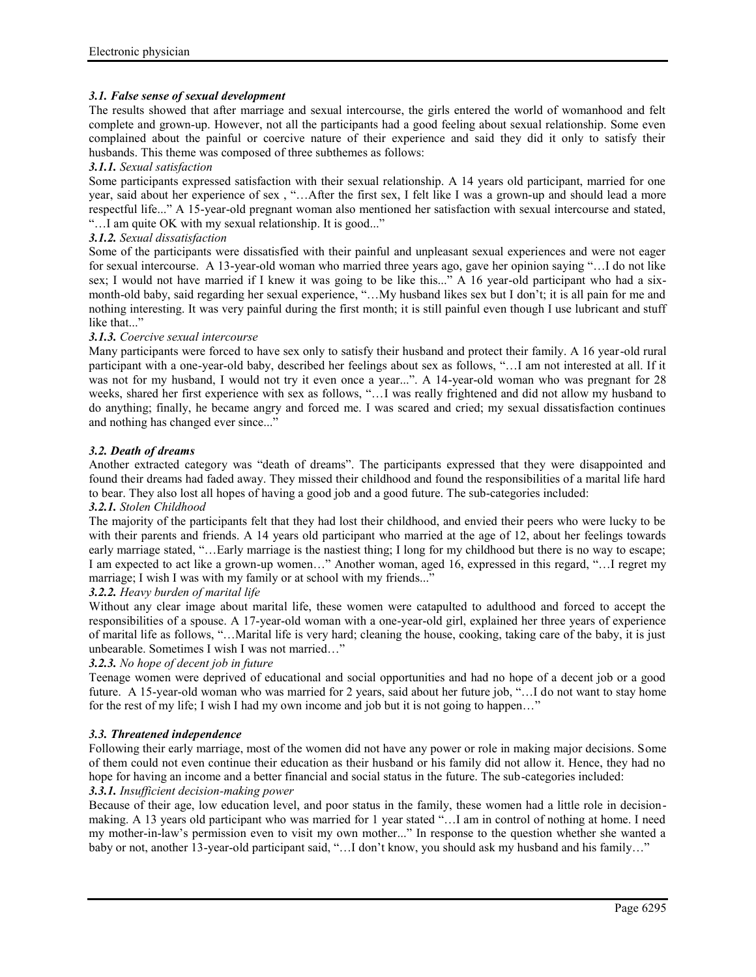# *3.1. False sense of sexual development*

The results showed that after marriage and sexual intercourse, the girls entered the world of womanhood and felt complete and grown-up. However, not all the participants had a good feeling about sexual relationship. Some even complained about the painful or coercive nature of their experience and said they did it only to satisfy their husbands. This theme was composed of three subthemes as follows:

### *3.1.1. Sexual satisfaction*

Some participants expressed satisfaction with their sexual relationship. A 14 years old participant, married for one year, said about her experience of sex , "…After the first sex, I felt like I was a grown-up and should lead a more respectful life..." A 15-year-old pregnant woman also mentioned her satisfaction with sexual intercourse and stated, "…I am quite OK with my sexual relationship. It is good..."

# *3.1.2. Sexual dissatisfaction*

Some of the participants were dissatisfied with their painful and unpleasant sexual experiences and were not eager for sexual intercourse. A 13-year-old woman who married three years ago, gave her opinion saying "…I do not like sex; I would not have married if I knew it was going to be like this..." A 16 year-old participant who had a sixmonth-old baby, said regarding her sexual experience, "…My husband likes sex but I don't; it is all pain for me and nothing interesting. It was very painful during the first month; it is still painful even though I use lubricant and stuff like that..."

### *3.1.3. Coercive sexual intercourse*

Many participants were forced to have sex only to satisfy their husband and protect their family. A 16 year-old rural participant with a one-year-old baby, described her feelings about sex as follows, "…I am not interested at all. If it was not for my husband, I would not try it even once a year...". A 14-year-old woman who was pregnant for 28 weeks, shared her first experience with sex as follows, "…I was really frightened and did not allow my husband to do anything; finally, he became angry and forced me. I was scared and cried; my sexual dissatisfaction continues and nothing has changed ever since..."

### *3.2. Death of dreams*

Another extracted category was "death of dreams". The participants expressed that they were disappointed and found their dreams had faded away. They missed their childhood and found the responsibilities of a marital life hard to bear. They also lost all hopes of having a good job and a good future. The sub-categories included:

#### *3.2.1. Stolen Childhood*

The majority of the participants felt that they had lost their childhood, and envied their peers who were lucky to be with their parents and friends. A 14 years old participant who married at the age of 12, about her feelings towards early marriage stated, "…Early marriage is the nastiest thing; I long for my childhood but there is no way to escape; I am expected to act like a grown-up women…" Another woman, aged 16, expressed in this regard, "…I regret my marriage; I wish I was with my family or at school with my friends..."

# *3.2.2. Heavy burden of marital life*

Without any clear image about marital life, these women were catapulted to adulthood and forced to accept the responsibilities of a spouse. A 17-year-old woman with a one-year-old girl, explained her three years of experience of marital life as follows, "…Marital life is very hard; cleaning the house, cooking, taking care of the baby, it is just unbearable. Sometimes I wish I was not married…"

# *3.2.3. No hope of decent job in future*

Teenage women were deprived of educational and social opportunities and had no hope of a decent job or a good future. A 15-year-old woman who was married for 2 years, said about her future job, "…I do not want to stay home for the rest of my life; I wish I had my own income and job but it is not going to happen…"

# *3.3. Threatened independence*

Following their early marriage, most of the women did not have any power or role in making major decisions. Some of them could not even continue their education as their husband or his family did not allow it. Hence, they had no hope for having an income and a better financial and social status in the future. The sub-categories included: *3.3.1. Insufficient decision-making power*

Because of their age, low education level, and poor status in the family, these women had a little role in decision making. A 13 years old participant who was married for 1 year stated "…I am in control of nothing at home. I need my mother-in-law's permission even to visit my own mother..." In response to the question whether she wanted a baby or not, another 13-year-old participant said, "... I don't know, you should ask my husband and his family..."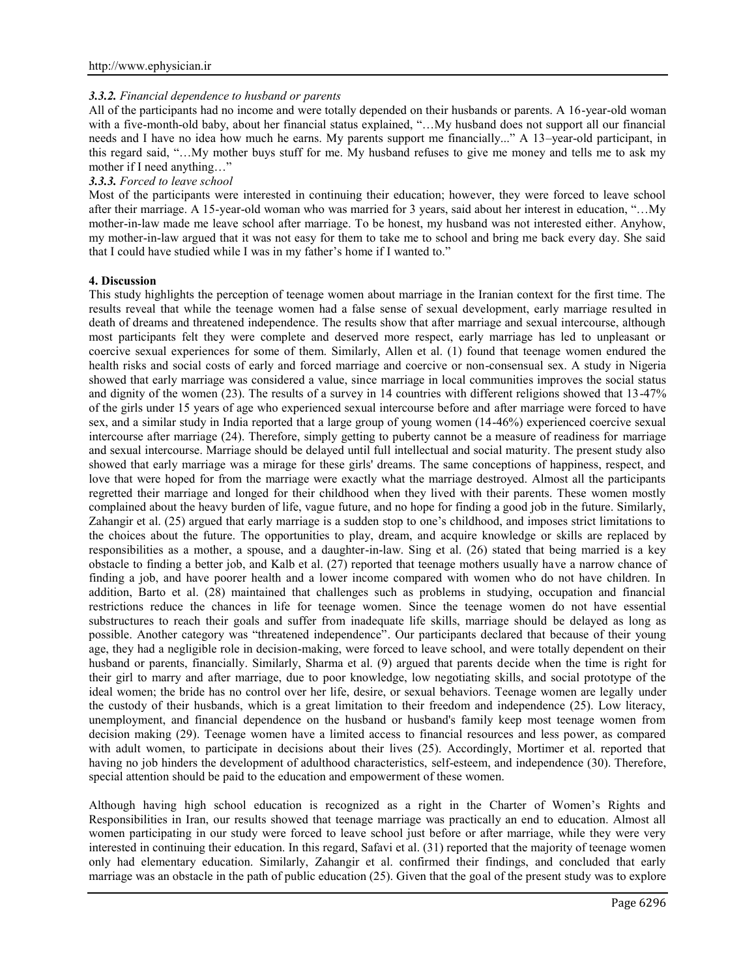### *3.3.2. Financial dependence to husband or parents*

All of the participants had no income and were totally depended on their husbands or parents. A 16-year-old woman with a five-month-old baby, about her financial status explained, "...My husband does not support all our financial needs and I have no idea how much he earns. My parents support me financially..." A 13–year-old participant, in this regard said, "…My mother buys stuff for me. My husband refuses to give me money and tells me to ask my mother if I need anything…"

### *3.3.3. Forced to leave school*

Most of the participants were interested in continuing their education; however, they were forced to leave school after their marriage. A 15-year-old woman who was married for 3 years, said about her interest in education, "…My mother-in-law made me leave school after marriage. To be honest, my husband was not interested either. Anyhow, my mother-in-law argued that it was not easy for them to take me to school and bring me back every day. She said that I could have studied while I was in my father's home if I wanted to."

### **4. Discussion**

This study highlights the perception of teenage women about marriage in the Iranian context for the first time. The results reveal that while the teenage women had a false sense of sexual development, early marriage resulted in death of dreams and threatened independence. The results show that after marriage and sexual intercourse, although most participants felt they were complete and deserved more respect, early marriage has led to unpleasant or coercive sexual experiences for some of them. Similarly, Allen et al. (1) found that teenage women endured the health risks and social costs of early and forced marriage and coercive or non-consensual sex. A study in Nigeria showed that early marriage was considered a value, since marriage in local communities improves the social status and dignity of the women (23). The results of a survey in 14 countries with different religions showed that 13-47% of the girls under 15 years of age who experienced sexual intercourse before and after marriage were forced to have sex, and a similar study in India reported that a large group of young women (14-46%) experienced coercive sexual intercourse after marriage (24). Therefore, simply getting to puberty cannot be a measure of readiness for marriage and sexual intercourse. Marriage should be delayed until full intellectual and social maturity. The present study also showed that early marriage was a mirage for these girls' dreams. The same conceptions of happiness, respect, and love that were hoped for from the marriage were exactly what the marriage destroyed. Almost all the participants regretted their marriage and longed for their childhood when they lived with their parents. These women mostly complained about the heavy burden of life, vague future, and no hope for finding a good job in the future. Similarly, Zahangir et al. (25) argued that early marriage is a sudden stop to one's childhood, and imposes strict limitations to the choices about the future. The opportunities to play, dream, and acquire knowledge or skills are replaced by responsibilities as a mother, a spouse, and a daughter-in-law. Sing et al. (26) stated that being married is a key obstacle to finding a better job, and Kalb et al. (27) reported that teenage mothers usually have a narrow chance of finding a job, and have poorer health and a lower income compared with women who do not have children. In addition, Barto et al. (28) maintained that challenges such as problems in studying, occupation and financial restrictions reduce the chances in life for teenage women. Since the teenage women do not have essential substructures to reach their goals and suffer from inadequate life skills, marriage should be delayed as long as possible. Another category was "threatened independence". Our participants declared that because of their young age, they had a negligible role in decision-making, were forced to leave school, and were totally dependent on their husband or parents, financially. Similarly, Sharma et al. (9) argued that parents decide when the time is right for their girl to marry and after marriage, due to poor knowledge, low negotiating skills, and social prototype of the ideal women; the bride has no control over her life, desire, or sexual behaviors. Teenage women are legally under the custody of their husbands, which is a great limitation to their freedom and independence (25). Low literacy, unemployment, and financial dependence on the husband or husband's family keep most teenage women from decision making (29). Teenage women have a limited access to financial resources and less power, as compared with adult women, to participate in decisions about their lives (25). Accordingly, Mortimer et al. reported that having no job hinders the development of adulthood characteristics, self-esteem, and independence (30). Therefore, special attention should be paid to the education and empowerment of these women.

Although having high school education is recognized as a right in the Charter of Women's Rights and Responsibilities in Iran, our results showed that teenage marriage was practically an end to education. Almost all women participating in our study were forced to leave school just before or after marriage, while they were very interested in continuing their education. In this regard, Safavi et al. (31) reported that the majority of teenage women only had elementary education. Similarly, Zahangir et al. confirmed their findings, and concluded that early marriage was an obstacle in the path of public education (25). Given that the goal of the present study was to explore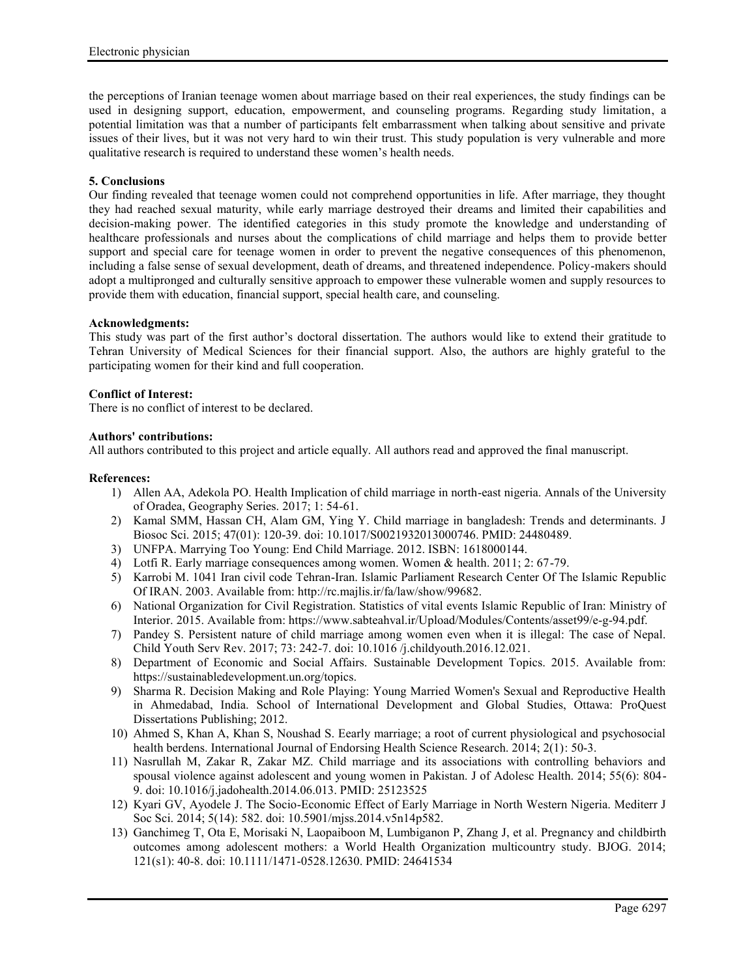the perceptions of Iranian teenage women about marriage based on their real experiences, the study findings can be used in designing support, education, empowerment, and counseling programs. Regarding study limitation, a potential limitation was that a number of participants felt embarrassment when talking about sensitive and private issues of their lives, but it was not very hard to win their trust. This study population is very vulnerable and more qualitative research is required to understand these women's health needs.

### **5. Conclusions**

Our finding revealed that teenage women could not comprehend opportunities in life. After marriage, they thought they had reached sexual maturity, while early marriage destroyed their dreams and limited their capabilities and decision-making power. The identified categories in this study promote the knowledge and understanding of healthcare professionals and nurses about the complications of child marriage and helps them to provide better support and special care for teenage women in order to prevent the negative consequences of this phenomenon, including a false sense of sexual development, death of dreams, and threatened independence. Policy-makers should adopt a multipronged and culturally sensitive approach to empower these vulnerable women and supply resources to provide them with education, financial support, special health care, and counseling.

#### **Acknowledgments:**

This study was part of the first author's doctoral dissertation. The authors would like to extend their gratitude to Tehran University of Medical Sciences for their financial support. Also, the authors are highly grateful to the participating women for their kind and full cooperation.

### **Conflict of Interest:**

There is no conflict of interest to be declared.

### **Authors' contributions:**

All authors contributed to this project and article equally. All authors read and approved the final manuscript.

### **References:**

- 1) Allen AA, Adekola PO. Health Implication of child marriage in north-east nigeria. Annals of the University of Oradea, Geography Series. 2017; 1: 54-61.
- 2) Kamal SMM, Hassan CH, Alam GM, Ying Y. Child marriage in bangladesh: Trends and determinants. J Biosoc Sci. 2015; 47(01): 120-39. doi: 10.1017/S0021932013000746. PMID: 24480489.
- 3) UNFPA. Marrying Too Young: End Child Marriage. 2012. ISBN: 1618000144.
- 4) Lotfi R. Early marriage consequences among women. Women & health. 2011; 2: 67-79.
- 5) Karrobi M. 1041 Iran civil code Tehran-Iran. Islamic Parliament Research Center Of The Islamic Republic Of IRAN. 2003. Available from: http://rc.majlis.ir/fa/law/show/99682.
- 6) National Organization for Civil Registration. Statistics of vital events Islamic Republic of Iran: Ministry of Interior. 2015. Available from: https://www.sabteahval.ir/Upload/Modules/Contents/asset99/e-g-94.pdf.
- 7) Pandey S. Persistent nature of child marriage among women even when it is illegal: The case of Nepal. Child Youth Serv Rev. 2017; 73: 242-7. doi: 10.1016 /j.childyouth.2016.12.021.
- 8) Department of Economic and Social Affairs. Sustainable Development Topics. 2015. Available from: https://sustainabledevelopment.un.org/topics.
- 9) Sharma R. Decision Making and Role Playing: Young Married Women's Sexual and Reproductive Health in Ahmedabad, India. School of International Development and Global Studies, Ottawa: ProQuest Dissertations Publishing; 2012.
- 10) Ahmed S, Khan A, Khan S, Noushad S. Eearly marriage; a root of current physiological and psychosocial health berdens. International Journal of Endorsing Health Science Research. 2014; 2(1): 50-3.
- 11) Nasrullah M, Zakar R, Zakar MZ. Child marriage and its associations with controlling behaviors and spousal violence against adolescent and young women in Pakistan. J of Adolesc Health. 2014; 55(6): 804- 9. doi: 10.1016/j.jadohealth.2014.06.013. PMID: 25123525
- 12) Kyari GV, Ayodele J. The Socio-Economic Effect of Early Marriage in North Western Nigeria. Mediterr J Soc Sci. 2014; 5(14): 582. doi: 10.5901/mjss.2014.v5n14p582.
- 13) Ganchimeg T, Ota E, Morisaki N, Laopaiboon M, Lumbiganon P, Zhang J, et al. Pregnancy and childbirth outcomes among adolescent mothers: a World Health Organization multicountry study. BJOG. 2014; 121(s1): 40-8. doi: 10.1111/1471-0528.12630. PMID: 24641534